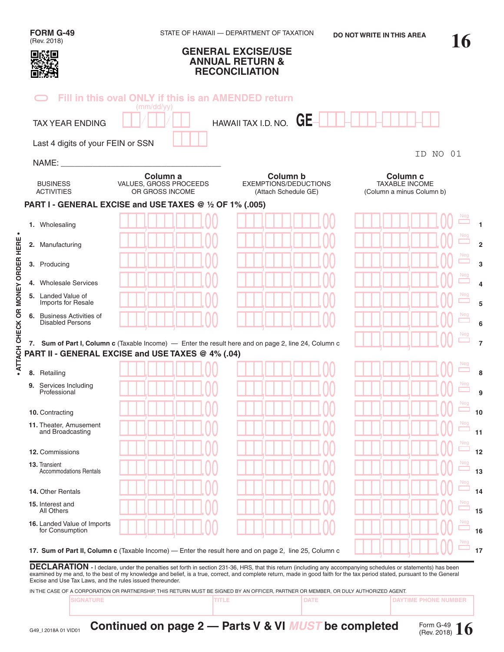| FORM G-49<br>(Rev. 2018)                                  |                                                                   | STATE OF HAWAII - DEPARTMENT OF TAXATION<br><b>GENERAL EXCISE/USE</b><br><b>ANNUAL RETURN &amp;</b>                                                                                                                                                                                                                                         | <b>DO NOT WRITE IN THIS AREA</b>                                          | 16    |
|-----------------------------------------------------------|-------------------------------------------------------------------|---------------------------------------------------------------------------------------------------------------------------------------------------------------------------------------------------------------------------------------------------------------------------------------------------------------------------------------------|---------------------------------------------------------------------------|-------|
|                                                           |                                                                   | <b>RECONCILIATION</b>                                                                                                                                                                                                                                                                                                                       |                                                                           |       |
|                                                           | Fill in this oval ONLY if this is an AMENDED return<br>(mm/dd/yy) |                                                                                                                                                                                                                                                                                                                                             |                                                                           |       |
| <b>TAX YEAR ENDING</b>                                    |                                                                   | HAWAII TAX I.D. NO. $GE-$                                                                                                                                                                                                                                                                                                                   |                                                                           |       |
| Last 4 digits of your FEIN or SSN                         |                                                                   |                                                                                                                                                                                                                                                                                                                                             |                                                                           |       |
| NAME:                                                     |                                                                   |                                                                                                                                                                                                                                                                                                                                             | ID                                                                        | NO 01 |
| <b>BUSINESS</b><br><b>ACTIVITIES</b>                      | Column a<br>VALUES, GROSS PROCEEDS<br>OR GROSS INCOME             | Column b<br><b>EXEMPTIONS/DEDUCTIONS</b><br>(Attach Schedule GE)                                                                                                                                                                                                                                                                            | Column <sub>c</sub><br><b>TAXABLE INCOME</b><br>(Column a minus Column b) |       |
|                                                           | PART I - GENERAL EXCISE and USE TAXES @ 1/2 OF 1% (.005)          |                                                                                                                                                                                                                                                                                                                                             |                                                                           |       |
| 1. Wholesaling                                            |                                                                   |                                                                                                                                                                                                                                                                                                                                             |                                                                           |       |
| 2. Manufacturing                                          |                                                                   |                                                                                                                                                                                                                                                                                                                                             |                                                                           |       |
| 3. Producing                                              |                                                                   |                                                                                                                                                                                                                                                                                                                                             |                                                                           |       |
| 4. Wholesale Services                                     |                                                                   |                                                                                                                                                                                                                                                                                                                                             |                                                                           |       |
| 5. Landed Value of<br>Imports for Resale                  |                                                                   |                                                                                                                                                                                                                                                                                                                                             |                                                                           |       |
| 6. Business Activities of<br><b>Disabled Persons</b>      |                                                                   |                                                                                                                                                                                                                                                                                                                                             |                                                                           |       |
|                                                           | PART II - GENERAL EXCISE and USE TAXES @ 4% (.04)                 | 7. Sum of Part I, Column c (Taxable Income) — Enter the result here and on page 2, line 24, Column c                                                                                                                                                                                                                                        |                                                                           |       |
| 8. Retailing                                              |                                                                   |                                                                                                                                                                                                                                                                                                                                             |                                                                           |       |
| 9. Services Including<br>Professional                     |                                                                   |                                                                                                                                                                                                                                                                                                                                             |                                                                           |       |
| 10. Contracting                                           |                                                                   |                                                                                                                                                                                                                                                                                                                                             |                                                                           | 10    |
| 11. Theater, Amusement<br>and Broadcasting                |                                                                   |                                                                                                                                                                                                                                                                                                                                             |                                                                           | 11    |
| 12. Commissions                                           |                                                                   |                                                                                                                                                                                                                                                                                                                                             |                                                                           | 12    |
| 13. Transient<br><b>Accommodations Rentals</b>            |                                                                   |                                                                                                                                                                                                                                                                                                                                             |                                                                           | 13    |
| 14. Other Rentals                                         |                                                                   |                                                                                                                                                                                                                                                                                                                                             |                                                                           |       |
| 15. Interest and<br>All Others                            |                                                                   |                                                                                                                                                                                                                                                                                                                                             |                                                                           | 15    |
| 16. Landed Value of Imports<br>for Consumption            |                                                                   |                                                                                                                                                                                                                                                                                                                                             |                                                                           | 16    |
|                                                           |                                                                   | 17. Sum of Part II, Column c (Taxable Income) — Enter the result here and on page 2, line 25, Column c                                                                                                                                                                                                                                      |                                                                           | 17    |
| Excise and Use Tax Laws, and the rules issued thereunder. |                                                                   | DECLARATION - I declare, under the penalties set forth in section 231-36, HRS, that this return (including any accompanying schedules or statements) has been<br>examined by me and, to the best of my knowledge and belief, is a true, correct, and complete return, made in good faith for the tax period stated, pursuant to the General |                                                                           |       |

IN THE CASE OF A CORPORATION OR PARTNERSHIP, THIS RETURN MUST BE SIGNED BY AN OFFICER, PARTNER OR MEMBER, OR DULY AUTHORIZED AGENT.

**SIGNATURE TITLE DATE DAYTIME PHONE NUMBER**

Form G-49 (Rev. 2018) **16**

**• ATTACH CHECK OR MONEY ORDER HERE •**

. ATTACH CHECK OR MONEY ORDER HERE .

**Continued on page 2 — Parts V & VI** *MUST* **be completed**